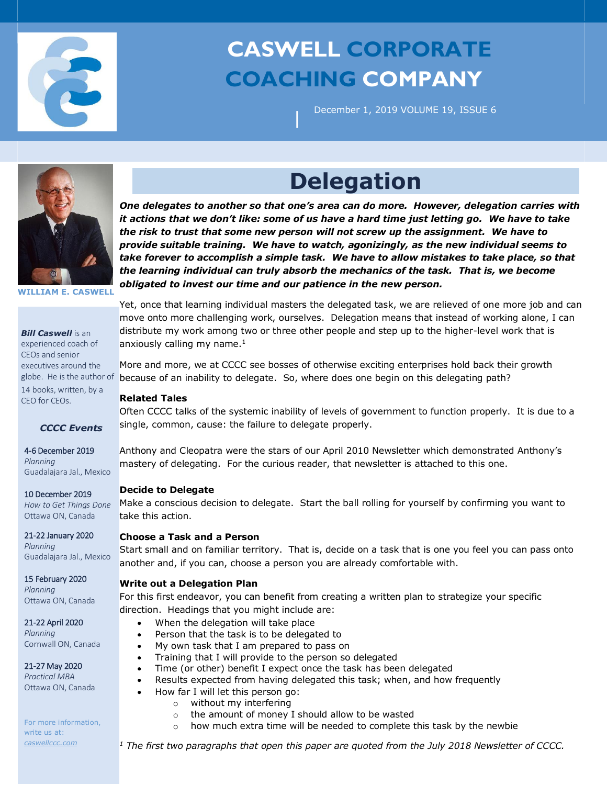

# **CASWELL CORPORATE COACHING COMPANY**

December 1, 2019 VOLUME 19, ISSUE 6



**WILLIAM E. CASWELL**

#### *Bill Caswell* is an

experienced coach of CEOs and senior executives around the 14 books, written, by a CEO for CEOs.

*CCCC Events*

4-6 December 2019 *Planning*

Guadalajara Jal., Mexico

10 December 2019

*How to Get Things Done*  Ottawa ON, Canada

21-22 January 2020

*Planning*  Guadalajara Jal., Mexico

#### 15 February 2020

*Planning*  Ottawa ON, Canada

### 21-22 April 2020

*Planning* Cornwall ON, Canada

#### 21-27 May 2020 *Practical MBA*

Ottawa ON, Canada

For more information, write us at: *caswellccc.com*

## **Delegation**

|

*One delegates to another so that one's area can do more. However, delegation carries with it actions that we don't like: some of us have a hard time just letting go. We have to take the risk to trust that some new person will not screw up the assignment. We have to provide suitable training. We have to watch, agonizingly, as the new individual seems to take forever to accomplish a simple task. We have to allow mistakes to take place, so that the learning individual can truly absorb the mechanics of the task. That is, we become obligated to invest our time and our patience in the new person.* 

Yet, once that learning individual masters the delegated task, we are relieved of one more job and can move onto more challenging work, ourselves. Delegation means that instead of working alone, I can distribute my work among two or three other people and step up to the higher-level work that is anxiously calling my name.<sup>1</sup>

More and more, we at CCCC see bosses of otherwise exciting enterprises hold back their growth globe. He is the author of because of an inability to delegate. So, where does one begin on this delegating path?

#### **Related Tales**

Often CCCC talks of the systemic inability of levels of government to function properly. It is due to a single, common, cause: the failure to delegate properly.

Anthony and Cleopatra were the stars of our April 2010 Newsletter which demonstrated Anthony's mastery of delegating. For the curious reader, that newsletter is attached to this one.

#### **Decide to Delegate**

Make a conscious decision to delegate. Start the ball rolling for yourself by confirming you want to take this action.

#### **Choose a Task and a Person**

Start small and on familiar territory. That is, decide on a task that is one you feel you can pass onto another and, if you can, choose a person you are already comfortable with.

#### **Write out a Delegation Plan**

For this first endeavor, you can benefit from creating a written plan to strategize your specific direction. Headings that you might include are:

- When the delegation will take place
- Person that the task is to be delegated to
- My own task that I am prepared to pass on
- Training that I will provide to the person so delegated
- Time (or other) benefit I expect once the task has been delegated
- Results expected from having delegated this task; when, and how frequently
- How far I will let this person go:
	- o without my interfering
	- o the amount of money I should allow to be wasted
	- o how much extra time will be needed to complete this task by the newbie

*<sup>1</sup> The first two paragraphs that open this paper are quoted from the July 2018 Newsletter of CCCC.*